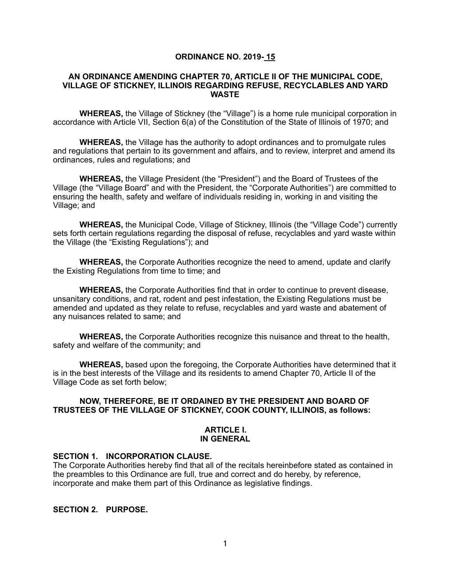## **ORDINANCE NO. 2019- 15**

#### **AN ORDINANCE AMENDING CHAPTER 70, ARTICLE II OF THE MUNICIPAL CODE, VILLAGE OF STICKNEY, ILLINOIS REGARDING REFUSE, RECYCLABLES AND YARD WASTE**

**WHEREAS,** the Village of Stickney (the "Village") is a home rule municipal corporation in accordance with Article VII, Section 6(a) of the Constitution of the State of Illinois of 1970; and

**WHEREAS,** the Village has the authority to adopt ordinances and to promulgate rules and regulations that pertain to its government and affairs, and to review, interpret and amend its ordinances, rules and regulations; and

**WHEREAS,** the Village President (the "President") and the Board of Trustees of the Village (the "Village Board" and with the President, the "Corporate Authorities") are committed to ensuring the health, safety and welfare of individuals residing in, working in and visiting the Village; and

**WHEREAS,** the Municipal Code, Village of Stickney, Illinois (the "Village Code") currently sets forth certain regulations regarding the disposal of refuse, recyclables and yard waste within the Village (the "Existing Regulations"); and

**WHEREAS,** the Corporate Authorities recognize the need to amend, update and clarify the Existing Regulations from time to time; and

**WHEREAS,** the Corporate Authorities find that in order to continue to prevent disease, unsanitary conditions, and rat, rodent and pest infestation, the Existing Regulations must be amended and updated as they relate to refuse, recyclables and yard waste and abatement of any nuisances related to same; and

 **WHEREAS,** the Corporate Authorities recognize this nuisance and threat to the health, safety and welfare of the community; and

**WHEREAS,** based upon the foregoing, the Corporate Authorities have determined that it is in the best interests of the Village and its residents to amend Chapter 70, Article II of the Village Code as set forth below;

## **NOW, THEREFORE, BE IT ORDAINED BY THE PRESIDENT AND BOARD OF TRUSTEES OF THE VILLAGE OF STICKNEY, COOK COUNTY, ILLINOIS, as follows:**

#### **ARTICLE I. IN GENERAL**

#### **SECTION 1. INCORPORATION CLAUSE.**

The Corporate Authorities hereby find that all of the recitals hereinbefore stated as contained in the preambles to this Ordinance are full, true and correct and do hereby, by reference, incorporate and make them part of this Ordinance as legislative findings.

### **SECTION 2. PURPOSE.**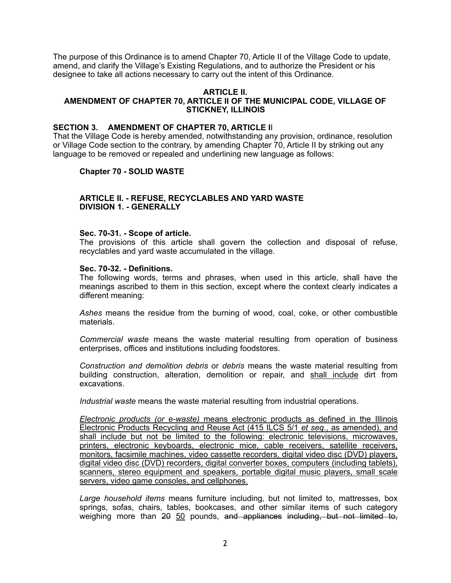The purpose of this Ordinance is to amend Chapter 70, Article II of the Village Code to update, amend, and clarify the Village's Existing Regulations, and to authorize the President or his designee to take all actions necessary to carry out the intent of this Ordinance.

#### **ARTICLE II. AMENDMENT OF CHAPTER 70, ARTICLE II OF THE MUNICIPAL CODE, VILLAGE OF STICKNEY, ILLINOIS**

### **SECTION 3. AMENDMENT OF CHAPTER 70, ARTICLE I**I

That the Village Code is hereby amended, notwithstanding any provision, ordinance, resolution or Village Code section to the contrary, by amending Chapter 70, Article II by striking out any language to be removed or repealed and underlining new language as follows:

## **Chapter 70 - SOLID WASTE**

## **ARTICLE II. - REFUSE, RECYCLABLES AND YARD WASTE DIVISION 1. - GENERALLY**

#### **Sec. 70-31. - Scope of article.**

The provisions of this article shall govern the collection and disposal of refuse, recyclables and yard waste accumulated in the village.

#### **Sec. 70-32. - Definitions.**

The following words, terms and phrases, when used in this article, shall have the meanings ascribed to them in this section, except where the context clearly indicates a different meaning:

*Ashes* means the residue from the burning of wood, coal, coke, or other combustible materials.

*Commercial waste* means the waste material resulting from operation of business enterprises, offices and institutions including foodstores.

*Construction and demolition debris* or *debris* means the waste material resulting from building construction, alteration, demolition or repair, and shall include dirt from excavations.

*Industrial waste* means the waste material resulting from industrial operations.

*Electronic products (or e-waste)* means electronic products as defined in the Illinois Electronic Products Recycling and Reuse Act (415 ILCS 5/1 *et seq.*, as amended), and shall include but not be limited to the following: electronic televisions, microwaves, printers, electronic keyboards, electronic mice, cable receivers, satellite receivers, monitors, facsimile machines, video cassette recorders, digital video disc (DVD) players, digital video disc (DVD) recorders, digital converter boxes, computers (including tablets), scanners, stereo equipment and speakers, portable digital music players, small scale servers, video game consoles, and cellphones.

*Large household items* means furniture including, but not limited to, mattresses, box springs, sofas, chairs, tables, bookcases, and other similar items of such category weighing more than 20 50 pounds, and appliances including, but not limited to,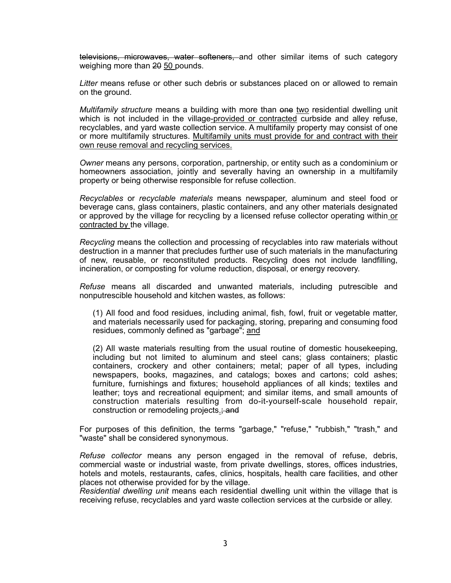televisions, microwaves, water softeners, and other similar items of such category weighing more than 20 50 pounds.

*Litter* means refuse or other such debris or substances placed on or allowed to remain on the ground.

*Multifamily structure* means a building with more than one two residential dwelling unit which is not included in the village-provided or contracted curbside and alley refuse, recyclables, and yard waste collection service. A multifamily property may consist of one or more multifamily structures. Multifamily units must provide for and contract with their own reuse removal and recycling services.

*Owner* means any persons, corporation, partnership, or entity such as a condominium or homeowners association, jointly and severally having an ownership in a multifamily property or being otherwise responsible for refuse collection.

*Recyclables* or *recyclable materials* means newspaper, aluminum and steel food or beverage cans, glass containers, plastic containers, and any other materials designated or approved by the village for recycling by a licensed refuse collector operating within or contracted by the village.

*Recycling* means the collection and processing of recyclables into raw materials without destruction in a manner that precludes further use of such materials in the manufacturing of new, reusable, or reconstituted products. Recycling does not include landfilling, incineration, or composting for volume reduction, disposal, or energy recovery.

*Refuse* means all discarded and unwanted materials, including putrescible and nonputrescible household and kitchen wastes, as follows:

(1) All food and food residues, including animal, fish, fowl, fruit or vegetable matter, and materials necessarily used for packaging, storing, preparing and consuming food residues, commonly defined as "garbage"; and

(2) All waste materials resulting from the usual routine of domestic housekeeping, including but not limited to aluminum and steel cans; glass containers; plastic containers, crockery and other containers; metal; paper of all types, including newspapers, books, magazines, and catalogs; boxes and cartons; cold ashes; furniture, furnishings and fixtures; household appliances of all kinds; textiles and leather; toys and recreational equipment; and similar items, and small amounts of construction materials resulting from do-it-yourself-scale household repair, construction or remodeling projects.; and

For purposes of this definition, the terms "garbage," "refuse," "rubbish," "trash," and "waste" shall be considered synonymous.

*Refuse collector* means any person engaged in the removal of refuse, debris, commercial waste or industrial waste, from private dwellings, stores, offices industries, hotels and motels, restaurants, cafes, clinics, hospitals, health care facilities, and other places not otherwise provided for by the village.

*Residential dwelling unit* means each residential dwelling unit within the village that is receiving refuse, recyclables and yard waste collection services at the curbside or alley.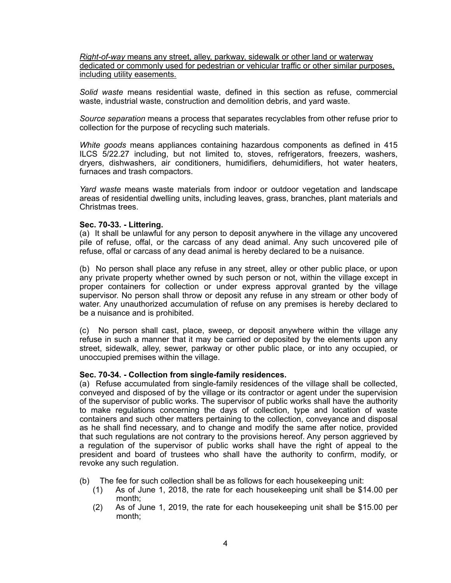*Right-of-way* means any street, alley, parkway, sidewalk or other land or waterway dedicated or commonly used for pedestrian or vehicular traffic or other similar purposes, including utility easements.

*Solid waste* means residential waste, defined in this section as refuse, commercial waste, industrial waste, construction and demolition debris, and yard waste.

*Source separation* means a process that separates recyclables from other refuse prior to collection for the purpose of recycling such materials.

*White goods* means appliances containing hazardous components as defined in 415 ILCS 5/22.27 including, but not limited to, stoves, refrigerators, freezers, washers, dryers, dishwashers, air conditioners, humidifiers, dehumidifiers, hot water heaters, furnaces and trash compactors.

*Yard waste* means waste materials from indoor or outdoor vegetation and landscape areas of residential dwelling units, including leaves, grass, branches, plant materials and Christmas trees.

#### **Sec. 70-33. - Littering.**

(a) It shall be unlawful for any person to deposit anywhere in the village any uncovered pile of refuse, offal, or the carcass of any dead animal. Any such uncovered pile of refuse, offal or carcass of any dead animal is hereby declared to be a nuisance.

(b) No person shall place any refuse in any street, alley or other public place, or upon any private property whether owned by such person or not, within the village except in proper containers for collection or under express approval granted by the village supervisor. No person shall throw or deposit any refuse in any stream or other body of water. Any unauthorized accumulation of refuse on any premises is hereby declared to be a nuisance and is prohibited.

(c) No person shall cast, place, sweep, or deposit anywhere within the village any refuse in such a manner that it may be carried or deposited by the elements upon any street, sidewalk, alley, sewer, parkway or other public place, or into any occupied, or unoccupied premises within the village.

#### **Sec. 70-34. - Collection from single-family residences.**

(a) Refuse accumulated from single-family residences of the village shall be collected, conveyed and disposed of by the village or its contractor or agent under the supervision of the supervisor of public works. The supervisor of public works shall have the authority to make regulations concerning the days of collection, type and location of waste containers and such other matters pertaining to the collection, conveyance and disposal as he shall find necessary, and to change and modify the same after notice, provided that such regulations are not contrary to the provisions hereof. Any person aggrieved by a regulation of the supervisor of public works shall have the right of appeal to the president and board of trustees who shall have the authority to confirm, modify, or revoke any such regulation.

(b) The fee for such collection shall be as follows for each housekeeping unit:

- (1) As of June 1, 2018, the rate for each housekeeping unit shall be \$14.00 per month;
- (2) As of June 1, 2019, the rate for each housekeeping unit shall be \$15.00 per month;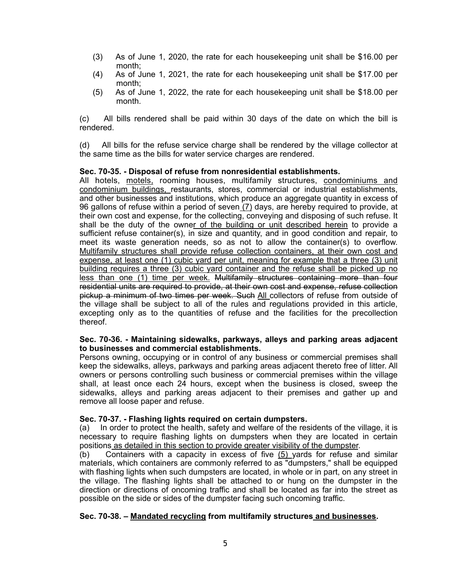- (3) As of June 1, 2020, the rate for each housekeeping unit shall be \$16.00 per month;
- (4) As of June 1, 2021, the rate for each housekeeping unit shall be \$17.00 per month;
- (5) As of June 1, 2022, the rate for each housekeeping unit shall be \$18.00 per month.

(c) All bills rendered shall be paid within 30 days of the date on which the bill is rendered.

(d) All bills for the refuse service charge shall be rendered by the village collector at the same time as the bills for water service charges are rendered.

#### **Sec. 70-35. - Disposal of refuse from nonresidential establishments.**

All hotels, motels, rooming houses, multifamily structures, condominiums and condominium buildings, restaurants, stores, commercial or industrial establishments, and other businesses and institutions, which produce an aggregate quantity in excess of 96 gallons of refuse within a period of seven (7) days, are hereby required to provide, at their own cost and expense, for the collecting, conveying and disposing of such refuse. It shall be the duty of the owner of the building or unit described herein to provide a sufficient refuse container(s), in size and quantity, and in good condition and repair, to meet its waste generation needs, so as not to allow the container(s) to overflow. Multifamily structures shall provide refuse collection containers, at their own cost and expense, at least one (1) cubic yard per unit, meaning for example that a three (3) unit building requires a three (3) cubic yard container and the refuse shall be picked up no less than one (1) time per week. Multifamily structures containing more than four residential units are required to provide, at their own cost and expense, refuse collection pickup a minimum of two times per week. Such All collectors of refuse from outside of the village shall be subject to all of the rules and regulations provided in this article, excepting only as to the quantities of refuse and the facilities for the precollection thereof.

#### **Sec. 70-36. - Maintaining sidewalks, parkways, alleys and parking areas adjacent to businesses and commercial establishments.**

Persons owning, occupying or in control of any business or commercial premises shall keep the sidewalks, alleys, parkways and parking areas adjacent thereto free of litter. All owners or persons controlling such business or commercial premises within the village shall, at least once each 24 hours, except when the business is closed, sweep the sidewalks, alleys and parking areas adjacent to their premises and gather up and remove all loose paper and refuse.

## **Sec. 70-37. - Flashing lights required on certain dumpsters.**

(a) In order to protect the health, safety and welfare of the residents of the village, it is necessary to require flashing lights on dumpsters when they are located in certain positions as detailed in this section to provide greater visibility of the dumpster.

(b) Containers with a capacity in excess of five (5) yards for refuse and similar materials, which containers are commonly referred to as "dumpsters," shall be equipped with flashing lights when such dumpsters are located, in whole or in part, on any street in the village. The flashing lights shall be attached to or hung on the dumpster in the direction or directions of oncoming traffic and shall be located as far into the street as possible on the side or sides of the dumpster facing such oncoming traffic.

## **Sec. 70-38. – Mandated recycling from multifamily structures and businesses.**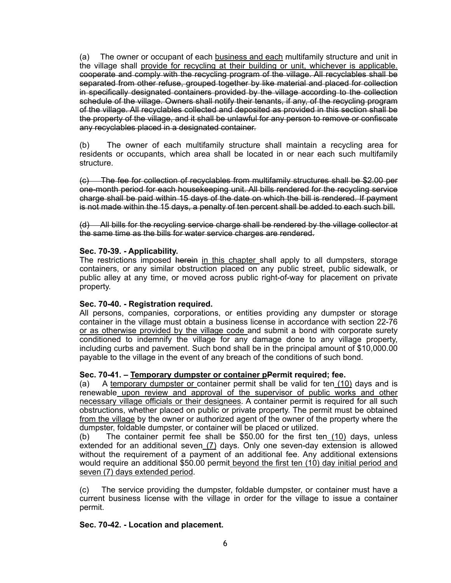(a) The owner or occupant of each business and each multifamily structure and unit in the village shall provide for recycling at their building or unit, whichever is applicable. cooperate and comply with the recycling program of the village. All recyclables shall be separated from other refuse, grouped together by like material and placed for collection in specifically designated containers provided by the village according to the collection schedule of the village. Owners shall notify their tenants, if any, of the recycling program of the village. All recyclables collected and deposited as provided in this section shall be the property of the village, and it shall be unlawful for any person to remove or confiscate any recyclables placed in a designated container.

(b) The owner of each multifamily structure shall maintain a recycling area for residents or occupants, which area shall be located in or near each such multifamily structure.

(c) The fee for collection of recyclables from multifamily structures shall be \$2.00 per one-month period for each housekeeping unit. All bills rendered for the recycling service charge shall be paid within 15 days of the date on which the bill is rendered. If payment is not made within the 15 days, a penalty of ten percent shall be added to each such bill.

(d) All bills for the recycling service charge shall be rendered by the village collector at the same time as the bills for water service charges are rendered.

## **Sec. 70-39. - Applicability.**

The restrictions imposed herein in this chapter shall apply to all dumpsters, storage containers, or any similar obstruction placed on any public street, public sidewalk, or public alley at any time, or moved across public right-of-way for placement on private property.

# **Sec. 70-40. - Registration required.**

All persons, companies, corporations, or entities providing any dumpster or storage container in the village must obtain a business license in accordance with section 22-76 or as otherwise provided by the village code and submit a bond with corporate surety conditioned to indemnify the village for any damage done to any village property, including curbs and pavement. Such bond shall be in the principal amount of \$10,000.00 payable to the village in the event of any breach of the conditions of such bond.

## **Sec. 70-41. – Temporary dumpster or container pPermit required; fee.**

(a) A temporary dumpster or container permit shall be valid for ten  $(10)$  days and is renewable upon review and approval of the supervisor of public works and other necessary village officials or their designees. A container permit is required for all such obstructions, whether placed on public or private property. The permit must be obtained from the village by the owner or authorized agent of the owner of the property where the dumpster, foldable dumpster, or container will be placed or utilized.

(b) The container permit fee shall be \$50.00 for the first ten (10) days, unless extended for an additional seven  $(7)$  days. Only one seven-day extension is allowed without the requirement of a payment of an additional fee. Any additional extensions would require an additional \$50.00 permit beyond the first ten (10) day initial period and seven (7) days extended period.

(c) The service providing the dumpster, foldable dumpster, or container must have a current business license with the village in order for the village to issue a container permit.

## **Sec. 70-42. - Location and placement.**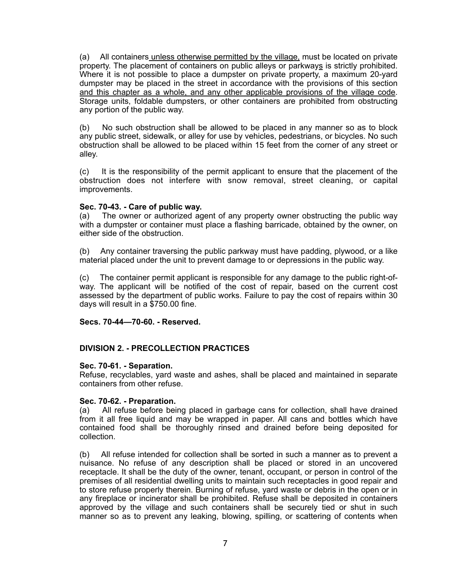(a) All containers unless otherwise permitted by the village, must be located on private property. The placement of containers on public alleys or parkways is strictly prohibited. Where it is not possible to place a dumpster on private property, a maximum 20-yard dumpster may be placed in the street in accordance with the provisions of this section and this chapter as a whole, and any other applicable provisions of the village code. Storage units, foldable dumpsters, or other containers are prohibited from obstructing any portion of the public way.

(b) No such obstruction shall be allowed to be placed in any manner so as to block any public street, sidewalk, or alley for use by vehicles, pedestrians, or bicycles. No such obstruction shall be allowed to be placed within 15 feet from the corner of any street or alley.

(c) It is the responsibility of the permit applicant to ensure that the placement of the obstruction does not interfere with snow removal, street cleaning, or capital improvements.

## **Sec. 70-43. - Care of public way.**

(a) The owner or authorized agent of any property owner obstructing the public way with a dumpster or container must place a flashing barricade, obtained by the owner, on either side of the obstruction.

(b) Any container traversing the public parkway must have padding, plywood, or a like material placed under the unit to prevent damage to or depressions in the public way.

(c) The container permit applicant is responsible for any damage to the public right-ofway. The applicant will be notified of the cost of repair, based on the current cost assessed by the department of public works. Failure to pay the cost of repairs within 30 days will result in a \$750.00 fine.

## **Secs. 70-44—70-60. - Reserved.**

# **DIVISION 2. - PRECOLLECTION PRACTICES**

## **Sec. 70-61. - Separation.**

Refuse, recyclables, yard waste and ashes, shall be placed and maintained in separate containers from other refuse.

## **Sec. 70-62. - Preparation.**

(a) All refuse before being placed in garbage cans for collection, shall have drained from it all free liquid and may be wrapped in paper. All cans and bottles which have contained food shall be thoroughly rinsed and drained before being deposited for collection.

(b) All refuse intended for collection shall be sorted in such a manner as to prevent a nuisance. No refuse of any description shall be placed or stored in an uncovered receptacle. It shall be the duty of the owner, tenant, occupant, or person in control of the premises of all residential dwelling units to maintain such receptacles in good repair and to store refuse properly therein. Burning of refuse, yard waste or debris in the open or in any fireplace or incinerator shall be prohibited. Refuse shall be deposited in containers approved by the village and such containers shall be securely tied or shut in such manner so as to prevent any leaking, blowing, spilling, or scattering of contents when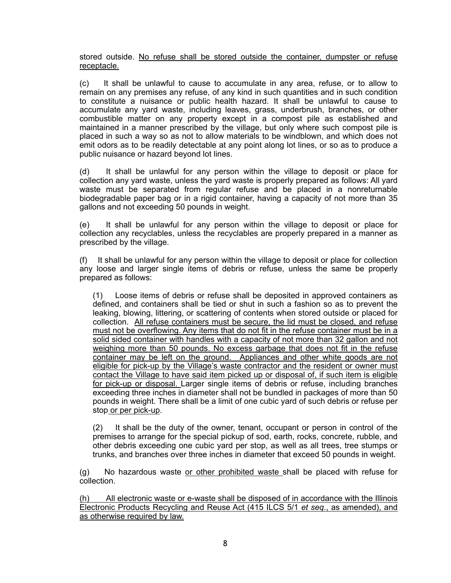stored outside. No refuse shall be stored outside the container, dumpster or refuse receptacle.

(c) It shall be unlawful to cause to accumulate in any area, refuse, or to allow to remain on any premises any refuse, of any kind in such quantities and in such condition to constitute a nuisance or public health hazard. It shall be unlawful to cause to accumulate any yard waste, including leaves, grass, underbrush, branches, or other combustible matter on any property except in a compost pile as established and maintained in a manner prescribed by the village, but only where such compost pile is placed in such a way so as not to allow materials to be windblown, and which does not emit odors as to be readily detectable at any point along lot lines, or so as to produce a public nuisance or hazard beyond lot lines.

(d) It shall be unlawful for any person within the village to deposit or place for collection any yard waste, unless the yard waste is properly prepared as follows: All yard waste must be separated from regular refuse and be placed in a nonreturnable biodegradable paper bag or in a rigid container, having a capacity of not more than 35 gallons and not exceeding 50 pounds in weight.

(e) It shall be unlawful for any person within the village to deposit or place for collection any recyclables, unless the recyclables are properly prepared in a manner as prescribed by the village.

(f) It shall be unlawful for any person within the village to deposit or place for collection any loose and larger single items of debris or refuse, unless the same be properly prepared as follows:

(1) Loose items of debris or refuse shall be deposited in approved containers as defined, and containers shall be tied or shut in such a fashion so as to prevent the leaking, blowing, littering, or scattering of contents when stored outside or placed for collection. All refuse containers must be secure, the lid must be closed, and refuse must not be overflowing. Any items that do not fit in the refuse container must be in a solid sided container with handles with a capacity of not more than 32 gallon and not weighing more than 50 pounds. No excess garbage that does not fit in the refuse container may be left on the ground. Appliances and other white goods are not eligible for pick-up by the Village's waste contractor and the resident or owner must contact the Village to have said item picked up or disposal of, if such item is eligible for pick-up or disposal. Larger single items of debris or refuse, including branches exceeding three inches in diameter shall not be bundled in packages of more than 50 pounds in weight. There shall be a limit of one cubic yard of such debris or refuse per stop or per pick-up.

(2) It shall be the duty of the owner, tenant, occupant or person in control of the premises to arrange for the special pickup of sod, earth, rocks, concrete, rubble, and other debris exceeding one cubic yard per stop, as well as all trees, tree stumps or trunks, and branches over three inches in diameter that exceed 50 pounds in weight.

(g) No hazardous waste or other prohibited waste shall be placed with refuse for collection.

(h) All electronic waste or e-waste shall be disposed of in accordance with the Illinois Electronic Products Recycling and Reuse Act (415 ILCS 5/1 *et seq.*, as amended), and as otherwise required by law.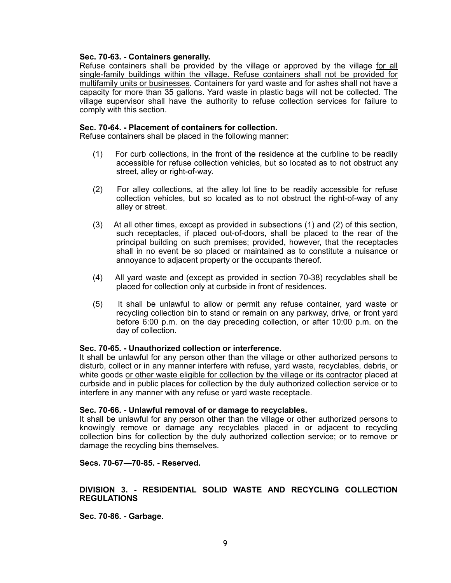## **Sec. 70-63. - Containers generally.**

Refuse containers shall be provided by the village or approved by the village for all single-family buildings within the village. Refuse containers shall not be provided for multifamily units or businesses. Containers for yard waste and for ashes shall not have a capacity for more than 35 gallons. Yard waste in plastic bags will not be collected. The village supervisor shall have the authority to refuse collection services for failure to comply with this section.

### **Sec. 70-64. - Placement of containers for collection.**

Refuse containers shall be placed in the following manner:

- (1) For curb collections, in the front of the residence at the curbline to be readily accessible for refuse collection vehicles, but so located as to not obstruct any street, alley or right-of-way.
- (2) For alley collections, at the alley lot line to be readily accessible for refuse collection vehicles, but so located as to not obstruct the right-of-way of any alley or street.
- (3) At all other times, except as provided in subsections (1) and (2) of this section, such receptacles, if placed out-of-doors, shall be placed to the rear of the principal building on such premises; provided, however, that the receptacles shall in no event be so placed or maintained as to constitute a nuisance or annoyance to adjacent property or the occupants thereof.
- (4) All yard waste and (except as provided in section 70-38) recyclables shall be placed for collection only at curbside in front of residences.
- (5) It shall be unlawful to allow or permit any refuse container, yard waste or recycling collection bin to stand or remain on any parkway, drive, or front yard before 6:00 p.m. on the day preceding collection, or after 10:00 p.m. on the day of collection.

#### **Sec. 70-65. - Unauthorized collection or interference.**

It shall be unlawful for any person other than the village or other authorized persons to disturb, collect or in any manner interfere with refuse, yard waste, recyclables, debris, or white goods or other waste eligible for collection by the village or its contractor placed at curbside and in public places for collection by the duly authorized collection service or to interfere in any manner with any refuse or yard waste receptacle.

#### **Sec. 70-66. - Unlawful removal of or damage to recyclables.**

It shall be unlawful for any person other than the village or other authorized persons to knowingly remove or damage any recyclables placed in or adjacent to recycling collection bins for collection by the duly authorized collection service; or to remove or damage the recycling bins themselves.

**Secs. 70-67—70-85. - Reserved.** 

## **DIVISION 3. - RESIDENTIAL SOLID WASTE AND RECYCLING COLLECTION REGULATIONS**

**Sec. 70-86. - Garbage.**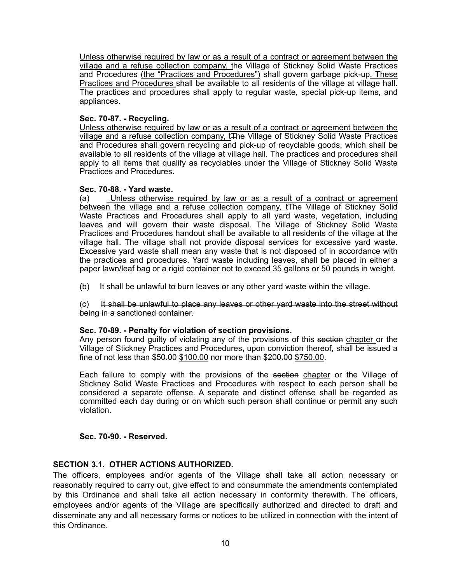Unless otherwise required by law or as a result of a contract or agreement between the village and a refuse collection company, the Village of Stickney Solid Waste Practices and Procedures (the "Practices and Procedures") shall govern garbage pick-up. These Practices and Procedures shall be available to all residents of the village at village hall. The practices and procedures shall apply to regular waste, special pick-up items, and appliances.

## **Sec. 70-87. - Recycling.**

Unless otherwise required by law or as a result of a contract or agreement between the village and a refuse collection company, t<sub>The Village of Stickney</sub> Solid Waste Practices and Procedures shall govern recycling and pick-up of recyclable goods, which shall be available to all residents of the village at village hall. The practices and procedures shall apply to all items that qualify as recyclables under the Village of Stickney Solid Waste Practices and Procedures.

## **Sec. 70-88. - Yard waste.**

(a) Unless otherwise required by law or as a result of a contract or agreement between the village and a refuse collection company, t<sub>the Village of Stickney Solid</sub> Waste Practices and Procedures shall apply to all yard waste, vegetation, including leaves and will govern their waste disposal. The Village of Stickney Solid Waste Practices and Procedures handout shall be available to all residents of the village at the village hall. The village shall not provide disposal services for excessive yard waste. Excessive yard waste shall mean any waste that is not disposed of in accordance with the practices and procedures. Yard waste including leaves, shall be placed in either a paper lawn/leaf bag or a rigid container not to exceed 35 gallons or 50 pounds in weight.

(b) It shall be unlawful to burn leaves or any other yard waste within the village.

## (c) It shall be unlawful to place any leaves or other yard waste into the street without being in a sanctioned container.

## **Sec. 70-89. - Penalty for violation of section provisions.**

Any person found guilty of violating any of the provisions of this section chapter or the Village of Stickney Practices and Procedures, upon conviction thereof, shall be issued a fine of not less than \$50.00 \$100.00 nor more than \$200.00 \$750.00.

Each failure to comply with the provisions of the section chapter or the Village of Stickney Solid Waste Practices and Procedures with respect to each person shall be considered a separate offense. A separate and distinct offense shall be regarded as committed each day during or on which such person shall continue or permit any such violation.

# **Sec. 70-90. - Reserved.**

# **SECTION 3.1. OTHER ACTIONS AUTHORIZED.**

The officers, employees and/or agents of the Village shall take all action necessary or reasonably required to carry out, give effect to and consummate the amendments contemplated by this Ordinance and shall take all action necessary in conformity therewith. The officers, employees and/or agents of the Village are specifically authorized and directed to draft and disseminate any and all necessary forms or notices to be utilized in connection with the intent of this Ordinance.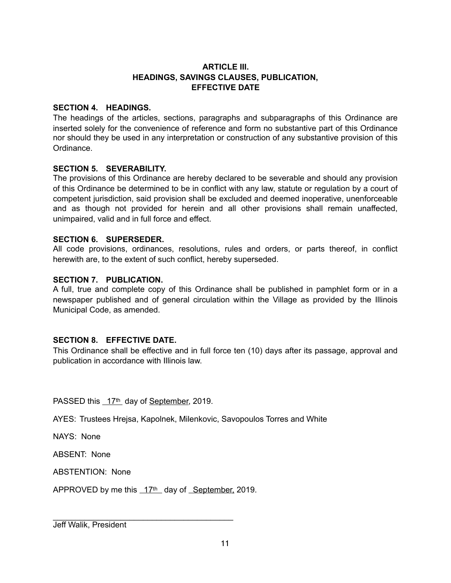# **ARTICLE III. HEADINGS, SAVINGS CLAUSES, PUBLICATION, EFFECTIVE DATE**

# **SECTION 4. HEADINGS.**

The headings of the articles, sections, paragraphs and subparagraphs of this Ordinance are inserted solely for the convenience of reference and form no substantive part of this Ordinance nor should they be used in any interpretation or construction of any substantive provision of this Ordinance.

# **SECTION 5. SEVERABILITY.**

The provisions of this Ordinance are hereby declared to be severable and should any provision of this Ordinance be determined to be in conflict with any law, statute or regulation by a court of competent jurisdiction, said provision shall be excluded and deemed inoperative, unenforceable and as though not provided for herein and all other provisions shall remain unaffected, unimpaired, valid and in full force and effect.

# **SECTION 6. SUPERSEDER.**

All code provisions, ordinances, resolutions, rules and orders, or parts thereof, in conflict herewith are, to the extent of such conflict, hereby superseded.

# **SECTION 7. PUBLICATION.**

A full, true and complete copy of this Ordinance shall be published in pamphlet form or in a newspaper published and of general circulation within the Village as provided by the Illinois Municipal Code, as amended.

# **SECTION 8. EFFECTIVE DATE.**

This Ordinance shall be effective and in full force ten (10) days after its passage, approval and publication in accordance with Illinois law.

PASSED this 17th day of September, 2019.

AYES: Trustees Hrejsa, Kapolnek, Milenkovic, Savopoulos Torres and White

NAYS: None

ABSENT: None

ABSTENTION: None

APPROVED by me this  $17<sup>th</sup>$  day of September, 2019.

\_\_\_\_\_\_\_\_\_\_\_\_\_\_\_\_\_\_\_\_\_\_\_\_\_\_\_\_\_\_\_\_\_\_\_\_\_\_\_\_

Jeff Walik, President